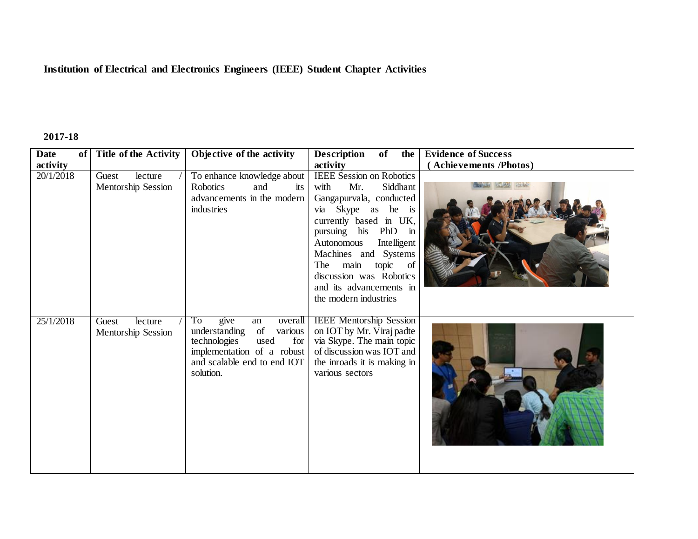## **Institution of Electrical and Electronics Engineers (IEEE) Student Chapter Activities**

## **2017-18**

| <b>Date</b><br>of | <b>Title of the Activity</b>                  | Objective of the activity                                                                                                                                              | <b>Description</b><br>of<br>the                                                                                                                                                                                                                                                                                             | <b>Evidence of Success</b> |
|-------------------|-----------------------------------------------|------------------------------------------------------------------------------------------------------------------------------------------------------------------------|-----------------------------------------------------------------------------------------------------------------------------------------------------------------------------------------------------------------------------------------------------------------------------------------------------------------------------|----------------------------|
| activity          |                                               |                                                                                                                                                                        | activity                                                                                                                                                                                                                                                                                                                    | (Achievements /Photos)     |
| 20/1/2018         | Guest<br>lecture<br><b>Mentorship Session</b> | To enhance knowledge about<br><b>Robotics</b><br>and<br>its<br>advancements in the modern<br>industries                                                                | <b>IEEE</b> Session on Robotics<br>with<br>Mr.<br>Siddhant<br>Gangapurvala, conducted<br>via Skype as he is<br>currently based in UK,<br>pursuing his PhD in<br>Intelligent<br>Autonomous<br>Machines and Systems<br>main<br>The<br>topic of<br>discussion was Robotics<br>and its advancements in<br>the modern industries |                            |
| 25/1/2018         | lecture<br>Guest<br>Mentorship Session        | To<br>give<br>overall<br>an<br>of<br>various<br>understanding<br>used<br>for<br>technologies<br>implementation of a robust<br>and scalable end to end IOT<br>solution. | <b>IEEE</b> Mentorship Session<br>on IOT by Mr. Viraj padte<br>via Skype. The main topic<br>of discussion was IOT and<br>the inroads it is making in<br>various sectors                                                                                                                                                     |                            |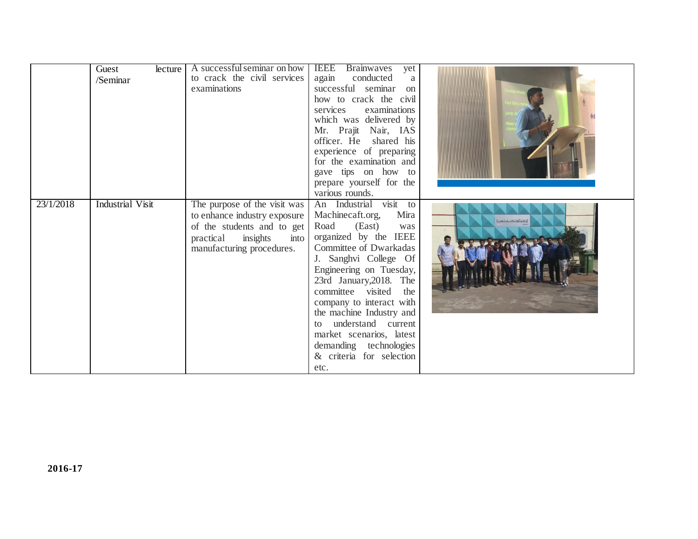|           | Guest<br>lecture<br>/Seminar | A successful seminar on how<br>to crack the civil services<br>examinations                                                                               | <b>IEEE</b> Brainwaves<br>yet<br>conducted<br>again<br>a<br>successful seminar<br>on<br>how to crack the civil<br>services<br>examinations<br>which was delivered by<br>Mr. Prajit Nair, IAS<br>officer. He shared his<br>experience of preparing<br>for the examination and<br>gave tips on how to<br>prepare yourself for the<br>various rounds.                                                                   |                  |
|-----------|------------------------------|----------------------------------------------------------------------------------------------------------------------------------------------------------|----------------------------------------------------------------------------------------------------------------------------------------------------------------------------------------------------------------------------------------------------------------------------------------------------------------------------------------------------------------------------------------------------------------------|------------------|
| 23/1/2018 | <b>Industrial Visit</b>      | The purpose of the visit was<br>to enhance industry exposure<br>of the students and to get<br>insights<br>practical<br>into<br>manufacturing procedures. | An Industrial visit to<br>Machinecaft.org,<br>Mira<br>Road<br>(East)<br>was<br>organized by the IEEE<br>Committee of Dwarkadas<br>J. Sanghvi College Of<br>Engineering on Tuesday,<br>23rd January, 2018. The<br>committee visited<br>the<br>company to interact with<br>the machine Industry and<br>to understand current<br>market scenarios, latest<br>demanding technologies<br>& criteria for selection<br>etc. | machinecraft.org |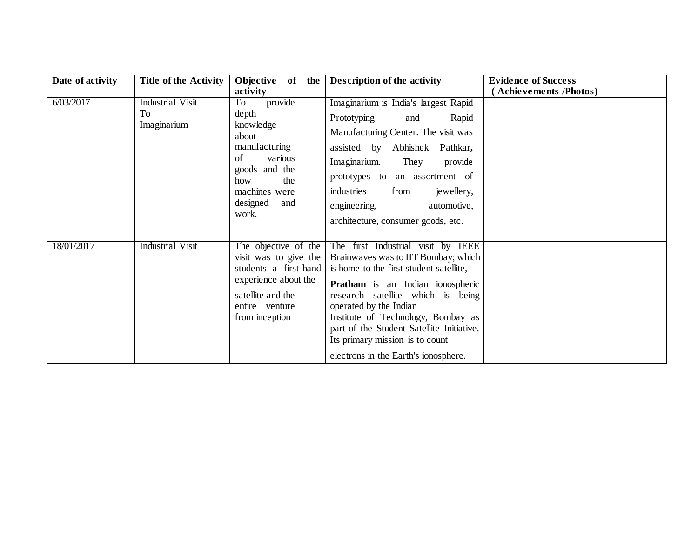| Date of activity | <b>Title of the Activity</b>          | Objective of the<br>activity                                                                                                                               | <b>Description of the activity</b>                                                                                                                                                                                                                                                                                                                                                           | <b>Evidence of Success</b><br><b>Achievements /Photos)</b> |
|------------------|---------------------------------------|------------------------------------------------------------------------------------------------------------------------------------------------------------|----------------------------------------------------------------------------------------------------------------------------------------------------------------------------------------------------------------------------------------------------------------------------------------------------------------------------------------------------------------------------------------------|------------------------------------------------------------|
| 6/03/2017        | Industrial Visit<br>To<br>Imaginarium | provide<br>To<br>depth<br>knowledge<br>about<br>manufacturing<br>of<br>various<br>goods and the<br>how<br>the<br>machines were<br>designed<br>and<br>work. | Imaginarium is India's largest Rapid<br>Prototyping<br>and<br>Rapid<br>Manufacturing Center. The visit was<br>assisted by Abhishek<br>Pathkar,<br>Imaginarium.<br>They<br>provide<br>prototypes to an assortment of<br>industries<br>from<br>jewellery,<br>engineering,<br>automotive,<br>architecture, consumer goods, etc.                                                                 |                                                            |
| 18/01/2017       | <b>Industrial Visit</b>               | The objective of the<br>visit was to give the<br>students a first-hand<br>experience about the<br>satellite and the<br>entire venture<br>from inception    | The first Industrial visit by IEEE<br>Brainwaves was to IIT Bombay; which<br>is home to the first student satellite,<br><b>Pratham</b> is an Indian ionospheric<br>research satellite which is being<br>operated by the Indian<br>Institute of Technology, Bombay as<br>part of the Student Satellite Initiative.<br>Its primary mission is to count<br>electrons in the Earth's ionosphere. |                                                            |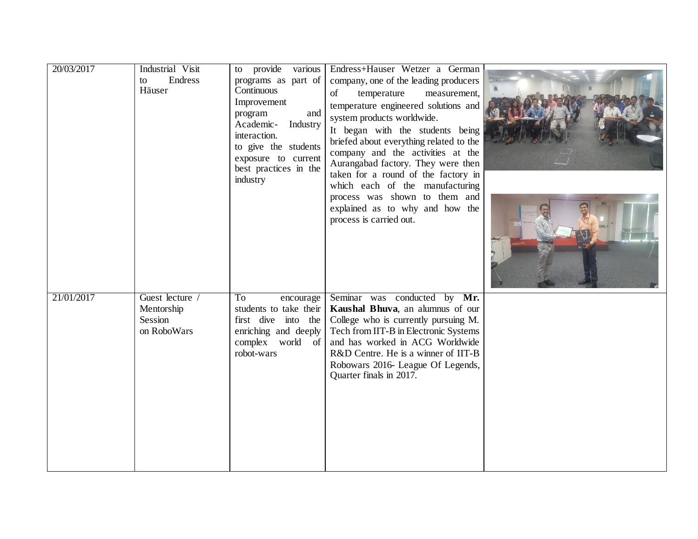| 20/03/2017 | Industrial Visit<br>Endress<br>to<br>Häuser             | to provide various<br>programs as part of<br>Continuous<br>Improvement<br>and<br>program<br>Academic- Industry<br>interaction.<br>to give the students<br>exposure to current<br>best practices in the<br>industry | Endress+Hauser Wetzer a German<br>company, one of the leading producers<br>of<br>temperature<br>measurement,<br>temperature engineered solutions and<br>system products worldwide.<br>It began with the students being<br>briefed about everything related to the<br>company and the activities at the<br>Aurangabad factory. They were then<br>taken for a round of the factory in<br>which each of the manufacturing<br>process was shown to them and<br>explained as to why and how the<br>process is carried out. |  |
|------------|---------------------------------------------------------|--------------------------------------------------------------------------------------------------------------------------------------------------------------------------------------------------------------------|-----------------------------------------------------------------------------------------------------------------------------------------------------------------------------------------------------------------------------------------------------------------------------------------------------------------------------------------------------------------------------------------------------------------------------------------------------------------------------------------------------------------------|--|
| 21/01/2017 | Guest lecture /<br>Mentorship<br>Session<br>on RoboWars | To<br>encourage<br>students to take their<br>first dive into the<br>enriching and deeply<br>complex world of<br>robot-wars                                                                                         | Seminar was conducted by Mr.<br>Kaushal Bhuva, an alumnus of our<br>College who is currently pursuing M.<br>Tech from IIT-B in Electronic Systems<br>and has worked in ACG Worldwide<br>R&D Centre. He is a winner of IIT-B<br>Robowars 2016- League Of Legends,<br>Quarter finals in 2017.                                                                                                                                                                                                                           |  |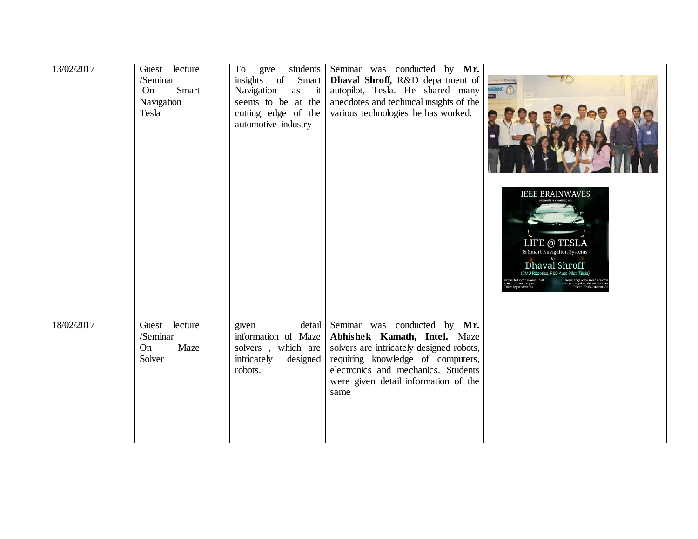| 13/02/2017 | Guest lecture<br>/Seminar<br>Smart<br>On<br>Navigation<br>Tesla | students<br>To<br>give<br>insights of<br>Smart<br>Navigation<br>$\dot{\mathbf{r}}$<br>as<br>seems to be at the<br>cutting edge of the<br>automotive industry | Seminar was conducted by Mr.<br>Dhaval Shroff, R&D department of<br>autopilot, Tesla. He shared many<br>anecdotes and technical insights of the<br>various technologies he has worked.                                               | EERINO                                                                                                                                                                                                                                                                                                   |
|------------|-----------------------------------------------------------------|--------------------------------------------------------------------------------------------------------------------------------------------------------------|--------------------------------------------------------------------------------------------------------------------------------------------------------------------------------------------------------------------------------------|----------------------------------------------------------------------------------------------------------------------------------------------------------------------------------------------------------------------------------------------------------------------------------------------------------|
|            |                                                                 |                                                                                                                                                              |                                                                                                                                                                                                                                      | <b>IEEE BRAINWAVES</b><br>LIFE @ TESLA<br>& Smart Navigation Systems<br>Dhaval Shroff<br>(CMU Robotics, R&D Auto Pilot, Tesla)<br>venue:3rd Floor seminar hall<br>Date:13th February 2017<br>fime: 12pm onwards<br>Register @ www.ieeedjsce.co<br>Contact: Payal Doshi-90224259<br>Shivani Shah-91672014 |
| 18/02/2017 | lecture<br>Guest<br>/Seminar<br>Maze<br>On<br>Solver            | detail<br>given<br>information of Maze<br>solvers, which are<br>designed<br>intricately<br>robots.                                                           | Seminar was conducted by Mr.<br>Abhishek Kamath, Intel. Maze<br>solvers are intricately designed robots,<br>requiring knowledge of computers,<br>electronics and mechanics. Students<br>were given detail information of the<br>same |                                                                                                                                                                                                                                                                                                          |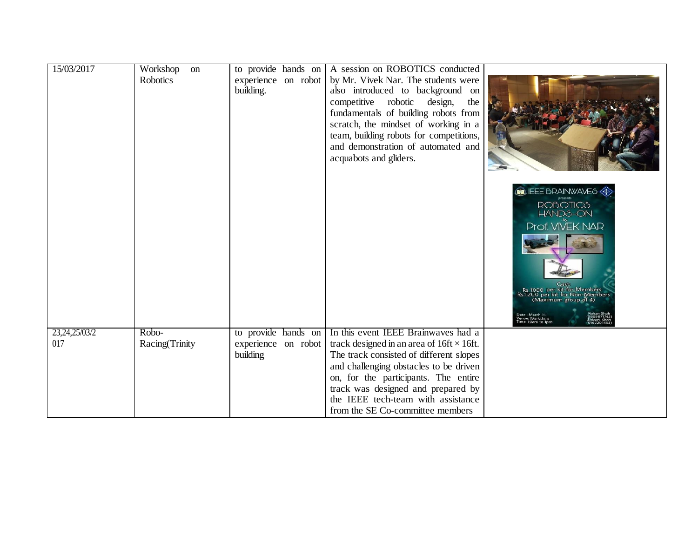| 15/03/2017             | Workshop<br>on<br>Robotics | experience on robot<br>building.                       | to provide hands on A session on ROBOTICS conducted<br>by Mr. Vivek Nar. The students were<br>also introduced to background on<br>competitive robotic design,<br>the<br>fundamentals of building robots from<br>scratch, the mindset of working in a<br>team, building robots for competitions,<br>and demonstration of automated and<br>acquabots and gliders. |                                                                                                                                                                                                                                      |
|------------------------|----------------------------|--------------------------------------------------------|-----------------------------------------------------------------------------------------------------------------------------------------------------------------------------------------------------------------------------------------------------------------------------------------------------------------------------------------------------------------|--------------------------------------------------------------------------------------------------------------------------------------------------------------------------------------------------------------------------------------|
|                        |                            |                                                        |                                                                                                                                                                                                                                                                                                                                                                 | ELEE BRAINWAVES<br><b>ROBOTICS</b><br><b>HANDS-ON</b><br><b>Prof. VIVEK NAR</b><br>Rs 1000 per kit for Members<br>Rs 1200 per kit for Non-Members<br>(Maximum group of 4)<br>Date : March 15<br>Venue: Workshop<br>Time: 10am to 1pm |
| 23, 24, 25/03/2<br>017 | Robo-<br>Racing(Trinity    | to provide hands on<br>experience on robot<br>building | In this event IEEE Brainwaves had a<br>track designed in an area of $16ft \times 16ft$ .<br>The track consisted of different slopes<br>and challenging obstacles to be driven<br>on, for the participants. The entire<br>track was designed and prepared by<br>the IEEE tech-team with assistance<br>from the SE Co-committee members                           |                                                                                                                                                                                                                                      |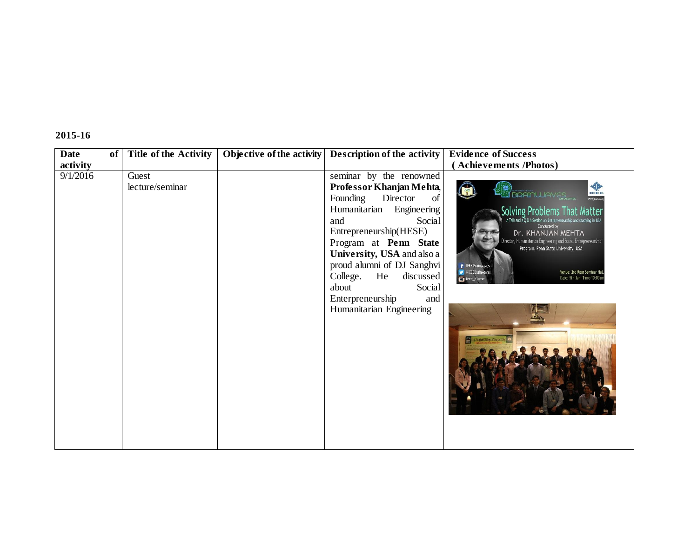## **2015-16**

| <b>Date</b><br>of | <b>Title of the Activity</b> | Objective of the activity | Description of the activity                                                                                                                                                                                                                                                                                                                               | <b>Evidence of Success</b>                                                                                                                                                                                                                                                                                                                                                                                                                           |
|-------------------|------------------------------|---------------------------|-----------------------------------------------------------------------------------------------------------------------------------------------------------------------------------------------------------------------------------------------------------------------------------------------------------------------------------------------------------|------------------------------------------------------------------------------------------------------------------------------------------------------------------------------------------------------------------------------------------------------------------------------------------------------------------------------------------------------------------------------------------------------------------------------------------------------|
| activity          |                              |                           |                                                                                                                                                                                                                                                                                                                                                           | <b>Achievements /Photos)</b>                                                                                                                                                                                                                                                                                                                                                                                                                         |
| 9/1/2016          | Guest<br>lecture/seminar     |                           | seminar by the renowned<br>Professor Khanjan Mehta,<br>Founding<br>Director<br>of<br>Humanitarian<br>Engineering<br>Social<br>and<br>Entrepreneurship(HESE)<br>Program at Penn State<br>University, USA and also a<br>proud alumni of DJ Sanghvi<br>College.<br>He<br>discussed<br>about<br>Social<br>Enterpreneurship<br>and<br>Humanitarian Engineering | ◈<br><b>ELE BRAINWAVES</b><br><b>IEEE</b><br>woduces.or<br>Solving Problems That Matter<br>A Talk and a Q & A Session on Entrepreneurship and studying in USA<br>Conducted by<br>Dr. KHANJAN MEHTA<br>Director, Humanitarian Engineering and Social Entrepreneurship<br>Program, Penn State University, USA<br><b>F</b> IEEE Brainwaves<br><b>V</b> @IEEEBrainwaves<br>Venue: 3rd floor Seminar Hal<br>Date: 9th Jan Time-10:00an<br>ica ieee_djscoe |
|                   |                              |                           |                                                                                                                                                                                                                                                                                                                                                           |                                                                                                                                                                                                                                                                                                                                                                                                                                                      |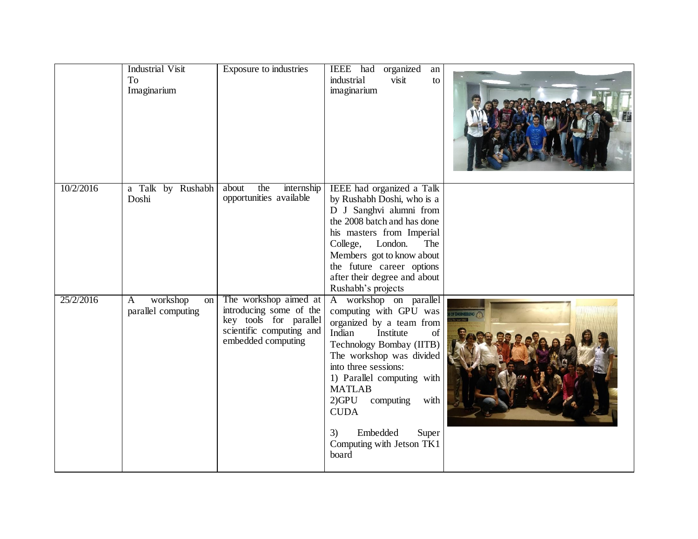|           | <b>Industrial Visit</b><br>To<br>Imaginarium | Exposure to industries                                                                                                       | IEEE had<br>organized<br>an<br>industrial<br>visit<br>to<br>imaginarium                                                                                                                                                                                                                                                                                   |  |
|-----------|----------------------------------------------|------------------------------------------------------------------------------------------------------------------------------|-----------------------------------------------------------------------------------------------------------------------------------------------------------------------------------------------------------------------------------------------------------------------------------------------------------------------------------------------------------|--|
| 10/2/2016 | a Talk by Rushabh<br>Doshi                   | about<br>the<br>internship<br>opportunities available                                                                        | IEEE had organized a Talk<br>by Rushabh Doshi, who is a<br>D J Sanghvi alumni from<br>the 2008 batch and has done<br>his masters from Imperial<br>College,<br>London.<br>The<br>Members got to know about<br>the future career options<br>after their degree and about<br>Rushabh's projects                                                              |  |
| 25/2/2016 | workshop<br>on<br>A<br>parallel computing    | The workshop aimed at<br>introducing some of the<br>key tools for parallel<br>scientific computing and<br>embedded computing | A workshop on parallel<br>computing with GPU was<br>organized by a team from<br>Indian<br>Institute<br>of<br>Technology Bombay (IITB)<br>The workshop was divided<br>into three sessions:<br>1) Parallel computing with<br><b>MATLAB</b><br>$2)$ GPU<br>computing<br>with<br><b>CUDA</b><br>Embedded<br>Super<br>3)<br>Computing with Jetson TK1<br>board |  |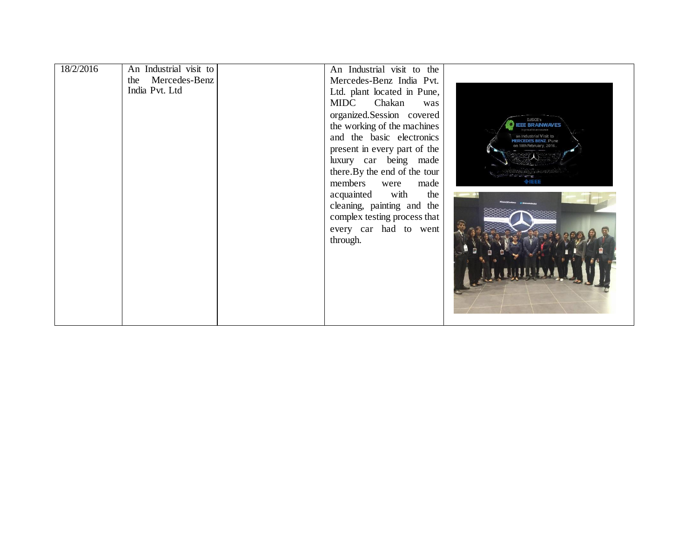| 18/2/2016 | An Industrial visit to | An Industrial visit to the                    |                                                     |
|-----------|------------------------|-----------------------------------------------|-----------------------------------------------------|
|           | the Mercedes-Benz      | Mercedes-Benz India Pvt.                      |                                                     |
|           | India Pvt. Ltd         | Ltd. plant located in Pune,                   |                                                     |
|           |                        | MIDC Chakan<br>was                            |                                                     |
|           |                        | organized.Session covered                     |                                                     |
|           |                        | the working of the machines                   | USCE's<br><b>EEE BRAINWAVES</b>                     |
|           |                        | and the basic electronics                     | proud to announce<br>an Industrial Visit to         |
|           |                        | present in every part of the                  | <b>ERCEDES BENZ Pune</b><br>on 18th February, 2016, |
|           |                        | luxury car being made                         |                                                     |
|           |                        |                                               |                                                     |
|           |                        | there. By the end of the tour<br>members were | $\Phi$ IEEE                                         |
|           |                        | made                                          |                                                     |
|           |                        | acquainted with<br>the                        |                                                     |
|           |                        | cleaning, painting and the                    |                                                     |
|           |                        | complex testing process that                  |                                                     |
|           |                        | every car had to went                         |                                                     |
|           |                        | through.                                      |                                                     |
|           |                        |                                               |                                                     |
|           |                        |                                               |                                                     |
|           |                        |                                               |                                                     |
|           |                        |                                               |                                                     |
|           |                        |                                               |                                                     |
|           |                        |                                               |                                                     |
|           |                        |                                               |                                                     |